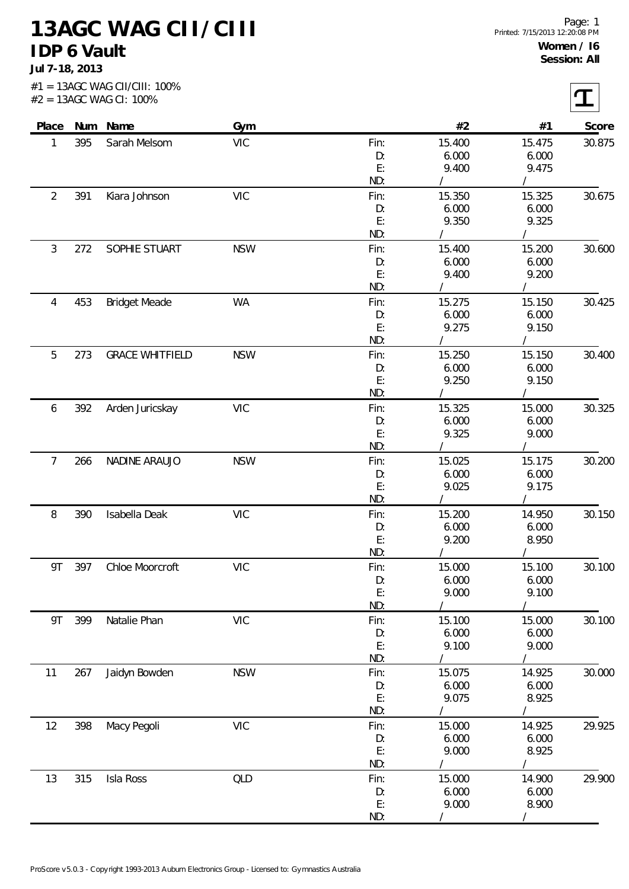**13AGC WAG CII/CIII IDP 6 Vault**

**Jul 7-18, 2013**

|                |     | Place Num Name         | Gym        |            | #2              | #1              | Score  |
|----------------|-----|------------------------|------------|------------|-----------------|-----------------|--------|
| 1              | 395 | Sarah Melsom           | <b>VIC</b> | Fin:       | 15.400          | 15.475          | 30.875 |
|                |     |                        |            | D:         | 6.000           | 6.000           |        |
|                |     |                        |            | E:         | 9.400           | 9.475           |        |
|                |     |                        |            | ND:        |                 |                 |        |
| $\overline{2}$ | 391 | Kiara Johnson          | <b>VIC</b> | Fin:       | 15.350          | 15.325          | 30.675 |
|                |     |                        |            | D:         | 6.000           | 6.000           |        |
|                |     |                        |            | E:         | 9.350           | 9.325           |        |
|                |     |                        |            | ND:        |                 |                 |        |
| $\mathfrak{Z}$ | 272 | SOPHIE STUART          | <b>NSW</b> | Fin:       | 15.400          | 15.200          | 30.600 |
|                |     |                        |            | D:<br>E:   | 6.000<br>9.400  | 6.000<br>9.200  |        |
|                |     |                        |            | ND:        |                 | $\prime$        |        |
| 4              | 453 | <b>Bridget Meade</b>   | <b>WA</b>  | Fin:       | 15.275          | 15.150          | 30.425 |
|                |     |                        |            | D:         | 6.000           | 6.000           |        |
|                |     |                        |            | E:         | 9.275           | 9.150           |        |
|                |     |                        |            | ND:        |                 | $\prime$        |        |
| 5              | 273 | <b>GRACE WHITFIELD</b> | <b>NSW</b> | Fin:       | 15.250          | 15.150          | 30.400 |
|                |     |                        |            | D:         | 6.000           | 6.000           |        |
|                |     |                        |            | E:         | 9.250           | 9.150           |        |
|                |     |                        |            | ND:        |                 |                 |        |
| 6              | 392 | Arden Juricskay        | <b>VIC</b> | Fin:       | 15.325          | 15.000          | 30.325 |
|                |     |                        |            | D:         | 6.000           | 6.000           |        |
|                |     |                        |            | E:         | 9.325           | 9.000           |        |
|                |     |                        |            | ND:        |                 |                 |        |
| $\overline{7}$ | 266 | NADINE ARAUJO          | <b>NSW</b> | Fin:       | 15.025          | 15.175          | 30.200 |
|                |     |                        |            | D:         | 6.000           | 6.000           |        |
|                |     |                        |            | E:         | 9.025           | 9.175           |        |
|                |     |                        |            | ND:        |                 |                 |        |
| 8              | 390 | Isabella Deak          | <b>VIC</b> | Fin:       | 15.200          | 14.950          | 30.150 |
|                |     |                        |            | D:<br>E:   | 6.000<br>9.200  | 6.000<br>8.950  |        |
|                |     |                        |            | ND:        | $\sqrt{2}$      | $\sqrt{2}$      |        |
|                | 397 | Chloe Moorcroft        | <b>VIC</b> | Fin:       | 15.000          | 15.100          | 30.100 |
| 9T             |     |                        |            | D:         | 6.000           | 6.000           |        |
|                |     |                        |            | E:         | 9.000           | 9.100           |        |
|                |     |                        |            | ND:        |                 |                 |        |
| 9T             | 399 | Natalie Phan           | <b>VIC</b> | Fin:       | 15.100          | 15.000          | 30.100 |
|                |     |                        |            | D:         | 6.000           | 6.000           |        |
|                |     |                        |            | E:         | 9.100           | 9.000           |        |
|                |     |                        |            | ND:        |                 |                 |        |
| 11             | 267 | Jaidyn Bowden          | <b>NSW</b> | Fin:       | 15.075          | 14.925          | 30.000 |
|                |     |                        |            | D:         | 6.000           | 6.000           |        |
|                |     |                        |            | E:         | 9.075           | 8.925           |        |
|                |     |                        |            | ND:        |                 | T               |        |
| 12             | 398 | Macy Pegoli            | <b>VIC</b> | Fin:       | 15.000          | 14.925          | 29.925 |
|                |     |                        |            | D:         | 6.000           | 6.000           |        |
|                |     |                        |            | E:<br>ND:  | 9.000           | 8.925           |        |
| 13             |     |                        |            |            |                 |                 |        |
|                | 315 | Isla Ross              | QLD        | Fin:<br>D: | 15.000<br>6.000 | 14.900<br>6.000 | 29.900 |
|                |     |                        |            | E:         | 9.000           | 8.900           |        |
|                |     |                        |            | ND:        |                 |                 |        |
|                |     |                        |            |            |                 |                 |        |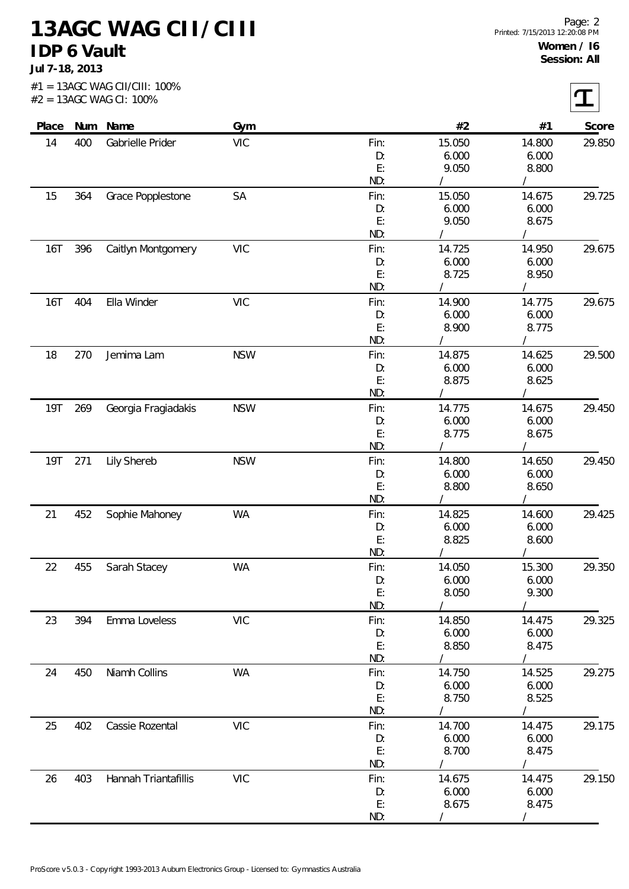**13AGC WAG CII/CIII IDP 6 Vault**

**Jul 7-18, 2013**

| Place   |     | Num Name             | Gym        |            | #2              | #1              | Score  |
|---------|-----|----------------------|------------|------------|-----------------|-----------------|--------|
| 14      | 400 | Gabrielle Prider     | <b>VIC</b> | Fin:       | 15.050          | 14.800          | 29.850 |
|         |     |                      |            | D:         | 6.000           | 6.000           |        |
|         |     |                      |            | E:         | 9.050           | 8.800           |        |
|         |     |                      |            | ND:        |                 |                 |        |
| 15      | 364 | Grace Popplestone    | SA         | Fin:       | 15.050          | 14.675          | 29.725 |
|         |     |                      |            | D:         | 6.000           | 6.000           |        |
|         |     |                      |            | E:         | 9.050           | 8.675           |        |
|         |     |                      |            | ND:        |                 |                 |        |
| 16T     | 396 | Caitlyn Montgomery   | <b>VIC</b> | Fin:       | 14.725          | 14.950          | 29.675 |
|         |     |                      |            | D:         | 6.000           | 6.000           |        |
|         |     |                      |            | E:<br>ND:  | 8.725           | 8.950           |        |
| 16T     | 404 | Ella Winder          | <b>VIC</b> | Fin:       | 14.900          | 14.775          | 29.675 |
|         |     |                      |            | D:         | 6.000           | 6.000           |        |
|         |     |                      |            | E:         | 8.900           | 8.775           |        |
|         |     |                      |            | ND:        |                 |                 |        |
| 18      | 270 | Jemima Lam           | <b>NSW</b> | Fin:       | 14.875          | 14.625          | 29.500 |
|         |     |                      |            | D:         | 6.000           | 6.000           |        |
|         |     |                      |            | E:         | 8.875           | 8.625           |        |
|         |     |                      |            | ND:        |                 |                 |        |
| 19T     | 269 | Georgia Fragiadakis  | <b>NSW</b> | Fin:       | 14.775          | 14.675          | 29.450 |
|         |     |                      |            | D:         | 6.000           | 6.000           |        |
|         |     |                      |            | E:         | 8.775           | 8.675           |        |
|         |     |                      |            | ND:        |                 |                 |        |
| 19T 271 |     | Lily Shereb          | <b>NSW</b> | Fin:       | 14.800          | 14.650          | 29.450 |
|         |     |                      |            | D:         | 6.000           | 6.000           |        |
|         |     |                      |            | E:         | 8.800           | 8.650           |        |
|         |     |                      |            | ND:        |                 |                 |        |
| 21      | 452 | Sophie Mahoney       | WA         | Fin:       | 14.825          | 14.600          | 29.425 |
|         |     |                      |            | D:         | 6.000           | 6.000           |        |
|         |     |                      |            | E:         | 8.825           | 8.600           |        |
|         |     |                      |            | ND:        |                 |                 |        |
| 22      | 455 | Sarah Stacey         | WA         | Fin:       | 14.050          | 15.300          | 29.350 |
|         |     |                      |            | D:         | 6.000           | 6.000           |        |
|         |     |                      |            | E:<br>ND:  | 8.050           | 9.300           |        |
|         |     |                      |            |            |                 |                 |        |
| 23      | 394 | Emma Loveless        | <b>VIC</b> | Fin:<br>D: | 14.850<br>6.000 | 14.475<br>6.000 | 29.325 |
|         |     |                      |            | E:         | 8.850           | 8.475           |        |
|         |     |                      |            | ND:        |                 |                 |        |
| 24      | 450 | Niamh Collins        | <b>WA</b>  | Fin:       | 14.750          | 14.525          | 29.275 |
|         |     |                      |            | D:         | 6.000           | 6.000           |        |
|         |     |                      |            | E:         | 8.750           | 8.525           |        |
|         |     |                      |            | ND:        |                 |                 |        |
| 25      | 402 | Cassie Rozental      | <b>VIC</b> | Fin:       | 14.700          | 14.475          | 29.175 |
|         |     |                      |            | D:         | 6.000           | 6.000           |        |
|         |     |                      |            | E:         | 8.700           | 8.475           |        |
|         |     |                      |            | ND:        |                 |                 |        |
| 26      | 403 | Hannah Triantafillis | <b>VIC</b> | Fin:       | 14.675          | 14.475          | 29.150 |
|         |     |                      |            | D:         | 6.000           | 6.000           |        |
|         |     |                      |            | E:         | 8.675           | 8.475           |        |
|         |     |                      |            | ND:        |                 | $\prime$        |        |